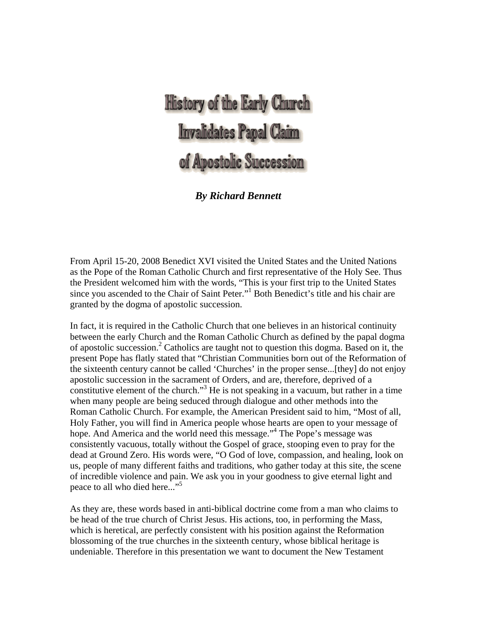# **History of the Early Church** Invalidates Papal Claim of Apostolic Succession

# *By Richard Bennett*

From April 15-20, 2008 Benedict XVI visited the United States and the United Nations as the Pope of the Roman Catholic Church and first representative of the Holy See. Thus the President welcomed him with the words, "This is your first trip to the United States since you ascended to the Chair of Saint Peter."<sup>1</sup> Both Benedict's title and his chair are granted by the dogma of apostolic succession.

In fact, it is required in the Catholic Church that one believes in an historical continuity between the early Church and the Roman Catholic Church as defined by the papal dogma of apostolic succession.2 Catholics are taught not to question this dogma. Based on it, the present Pope has flatly stated that "Christian Communities born out of the Reformation of the sixteenth century cannot be called 'Churches' in the proper sense...[they] do not enjoy apostolic succession in the sacrament of Orders, and are, therefore, deprived of a constitutive element of the church."<sup>3</sup> He is not speaking in a vacuum, but rather in a time when many people are being seduced through dialogue and other methods into the Roman Catholic Church. For example, the American President said to him, "Most of all, Holy Father, you will find in America people whose hearts are open to your message of hope. And America and the world need this message."<sup>4</sup> The Pope's message was consistently vacuous, totally without the Gospel of grace, stooping even to pray for the dead at Ground Zero. His words were, "O God of love, compassion, and healing, look on us, people of many different faiths and traditions, who gather today at this site, the scene of incredible violence and pain. We ask you in your goodness to give eternal light and peace to all who died here..."<sup>5</sup>

As they are, these words based in anti-biblical doctrine come from a man who claims to be head of the true church of Christ Jesus. His actions, too, in performing the Mass, which is heretical, are perfectly consistent with his position against the Reformation blossoming of the true churches in the sixteenth century, whose biblical heritage is undeniable. Therefore in this presentation we want to document the New Testament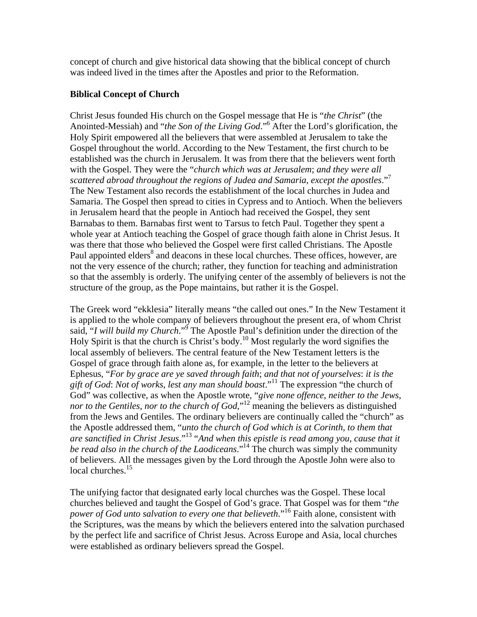concept of church and give historical data showing that the biblical concept of church was indeed lived in the times after the Apostles and prior to the Reformation.

#### **Biblical Concept of Church**

Christ Jesus founded His church on the Gospel message that He is "*the Christ*" (the Anointed-Messiah) and "*the Son of the Living God*."<sup>6</sup> After the Lord's glorification, the Holy Spirit empowered all the believers that were assembled at Jerusalem to take the Gospel throughout the world. According to the New Testament, the first church to be established was the church in Jerusalem. It was from there that the believers went forth with the Gospel. They were the "*church which was at Jerusalem*; *and they were all scattered abroad throughout the regions of Judea and Samaria*, *except the apostles*."<sup>7</sup> The New Testament also records the establishment of the local churches in Judea and Samaria. The Gospel then spread to cities in Cypress and to Antioch. When the believers in Jerusalem heard that the people in Antioch had received the Gospel, they sent Barnabas to them. Barnabas first went to Tarsus to fetch Paul. Together they spent a whole year at Antioch teaching the Gospel of grace though faith alone in Christ Jesus. It was there that those who believed the Gospel were first called Christians. The Apostle Paul appointed elders<sup>8</sup> and deacons in these local churches. These offices, however, are not the very essence of the church; rather, they function for teaching and administration so that the assembly is orderly. The unifying center of the assembly of believers is not the structure of the group, as the Pope maintains, but rather it is the Gospel.

The Greek word "ekklesia" literally means "the called out ones." In the New Testament it is applied to the whole company of believers throughout the present era, of whom Christ said, "*I will build my Church*."<sup>9</sup> The Apostle Paul's definition under the direction of the Holy Spirit is that the church is Christ's body.<sup>10</sup> Most regularly the word signifies the local assembly of believers. The central feature of the New Testament letters is the Gospel of grace through faith alone as, for example, in the letter to the believers at Ephesus, "*For by grace are ye saved through faith*; *and that not of yourselves*: *it is the gift of God*: *Not of works*, *lest any man should boast*."11 The expression "the church of God" was collective, as when the Apostle wrote, "*give none offence*, *neither to the Jews*, *nor to the Gentiles*, *nor to the church of God,*" 12 meaning the believers as distinguished from the Jews and Gentiles. The ordinary believers are continually called the "church" as the Apostle addressed them, "*unto the church of God which is at Corinth*, *to them that are sanctified in Christ Jesus*."13 "*And when this epistle is read among you*, *cause that it be read also in the church of the Laodiceans*."14 The church was simply the community of believers. All the messages given by the Lord through the Apostle John were also to local churches.<sup>15</sup>

The unifying factor that designated early local churches was the Gospel. These local churches believed and taught the Gospel of God's grace. That Gospel was for them "*the power of God unto salvation to every one that believeth.*<sup>"16</sup> Faith alone, consistent with the Scriptures, was the means by which the believers entered into the salvation purchased by the perfect life and sacrifice of Christ Jesus. Across Europe and Asia, local churches were established as ordinary believers spread the Gospel.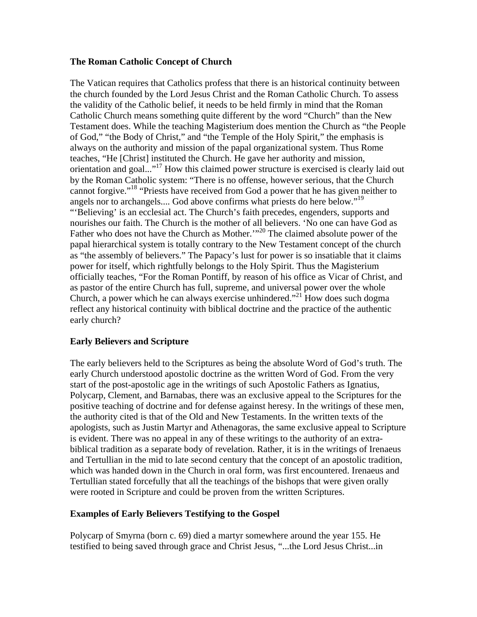#### **The Roman Catholic Concept of Church**

The Vatican requires that Catholics profess that there is an historical continuity between the church founded by the Lord Jesus Christ and the Roman Catholic Church. To assess the validity of the Catholic belief, it needs to be held firmly in mind that the Roman Catholic Church means something quite different by the word "Church" than the New Testament does. While the teaching Magisterium does mention the Church as "the People of God," "the Body of Christ," and "the Temple of the Holy Spirit," the emphasis is always on the authority and mission of the papal organizational system. Thus Rome teaches, "He [Christ] instituted the Church. He gave her authority and mission, orientation and goal..."17 How this claimed power structure is exercised is clearly laid out by the Roman Catholic system: "There is no offense, however serious, that the Church cannot forgive."<sup>18</sup> "Priests have received from God a power that he has given neither to angels nor to archangels.... God above confirms what priests do here below."<sup>19</sup> "'Believing' is an ecclesial act. The Church's faith precedes, engenders, supports and nourishes our faith. The Church is the mother of all believers. 'No one can have God as Father who does not have the Church as Mother.<sup>'"20</sup> The claimed absolute power of the papal hierarchical system is totally contrary to the New Testament concept of the church as "the assembly of believers." The Papacy's lust for power is so insatiable that it claims power for itself, which rightfully belongs to the Holy Spirit. Thus the Magisterium officially teaches, "For the Roman Pontiff, by reason of his office as Vicar of Christ, and as pastor of the entire Church has full, supreme, and universal power over the whole Church, a power which he can always exercise unhindered."<sup>21</sup> How does such dogma reflect any historical continuity with biblical doctrine and the practice of the authentic early church?

# **Early Believers and Scripture**

The early believers held to the Scriptures as being the absolute Word of God's truth. The early Church understood apostolic doctrine as the written Word of God. From the very start of the post-apostolic age in the writings of such Apostolic Fathers as Ignatius, Polycarp, Clement, and Barnabas, there was an exclusive appeal to the Scriptures for the positive teaching of doctrine and for defense against heresy. In the writings of these men, the authority cited is that of the Old and New Testaments. In the written texts of the apologists, such as Justin Martyr and Athenagoras, the same exclusive appeal to Scripture is evident. There was no appeal in any of these writings to the authority of an extrabiblical tradition as a separate body of revelation. Rather, it is in the writings of Irenaeus and Tertullian in the mid to late second century that the concept of an apostolic tradition, which was handed down in the Church in oral form, was first encountered. Irenaeus and Tertullian stated forcefully that all the teachings of the bishops that were given orally were rooted in Scripture and could be proven from the written Scriptures.

# **Examples of Early Believers Testifying to the Gospel**

Polycarp of Smyrna (born c. 69) died a martyr somewhere around the year 155. He testified to being saved through grace and Christ Jesus, "...the Lord Jesus Christ...in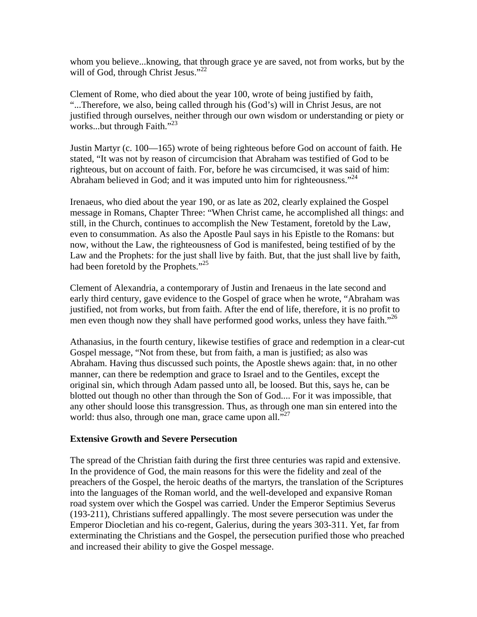whom you believe...knowing, that through grace ye are saved, not from works, but by the will of God, through Christ Jesus."<sup>22</sup>

Clement of Rome, who died about the year 100, wrote of being justified by faith, "...Therefore, we also, being called through his (God's) will in Christ Jesus, are not justified through ourselves, neither through our own wisdom or understanding or piety or works...but through Faith."<sup>23</sup>

Justin Martyr (c. 100—165) wrote of being righteous before God on account of faith. He stated, "It was not by reason of circumcision that Abraham was testified of God to be righteous, but on account of faith. For, before he was circumcised, it was said of him: Abraham believed in God; and it was imputed unto him for righteousness."<sup>24</sup>

Irenaeus, who died about the year 190, or as late as 202, clearly explained the Gospel message in Romans, Chapter Three: "When Christ came, he accomplished all things: and still, in the Church, continues to accomplish the New Testament, foretold by the Law, even to consummation. As also the Apostle Paul says in his Epistle to the Romans: but now, without the Law, the righteousness of God is manifested, being testified of by the Law and the Prophets: for the just shall live by faith. But, that the just shall live by faith, had been foretold by the Prophets."<sup>25</sup>

Clement of Alexandria, a contemporary of Justin and Irenaeus in the late second and early third century, gave evidence to the Gospel of grace when he wrote, "Abraham was justified, not from works, but from faith. After the end of life, therefore, it is no profit to men even though now they shall have performed good works, unless they have faith."<sup>26</sup>

Athanasius, in the fourth century, likewise testifies of grace and redemption in a clear-cut Gospel message, "Not from these, but from faith, a man is justified; as also was Abraham. Having thus discussed such points, the Apostle shews again: that, in no other manner, can there be redemption and grace to Israel and to the Gentiles, except the original sin, which through Adam passed unto all, be loosed. But this, says he, can be blotted out though no other than through the Son of God.... For it was impossible, that any other should loose this transgression. Thus, as through one man sin entered into the world: thus also, through one man, grace came upon all."<sup>27</sup>

#### **Extensive Growth and Severe Persecution**

The spread of the Christian faith during the first three centuries was rapid and extensive. In the providence of God, the main reasons for this were the fidelity and zeal of the preachers of the Gospel, the heroic deaths of the martyrs, the translation of the Scriptures into the languages of the Roman world, and the well-developed and expansive Roman road system over which the Gospel was carried. Under the Emperor Septimius Severus (193-211), Christians suffered appallingly. The most severe persecution was under the Emperor Diocletian and his co-regent, Galerius, during the years 303-311. Yet, far from exterminating the Christians and the Gospel, the persecution purified those who preached and increased their ability to give the Gospel message.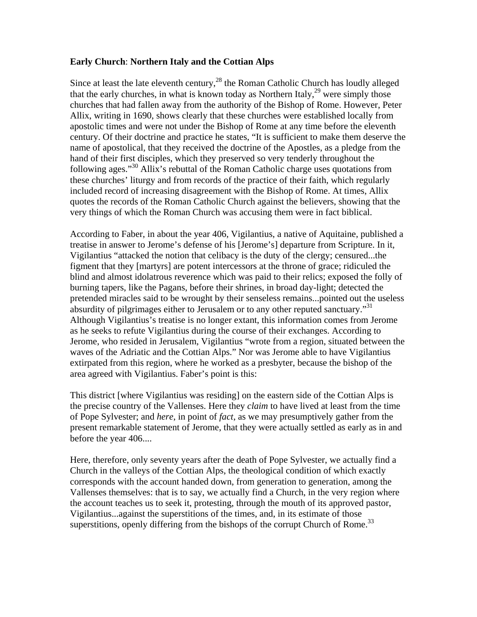#### **Early Church**: **Northern Italy and the Cottian Alps**

Since at least the late eleventh century, $^{28}$  the Roman Catholic Church has loudly alleged that the early churches, in what is known today as Northern Italy,<sup>29</sup> were simply those churches that had fallen away from the authority of the Bishop of Rome. However, Peter Allix, writing in 1690, shows clearly that these churches were established locally from apostolic times and were not under the Bishop of Rome at any time before the eleventh century. Of their doctrine and practice he states, "It is sufficient to make them deserve the name of apostolical, that they received the doctrine of the Apostles, as a pledge from the hand of their first disciples, which they preserved so very tenderly throughout the following ages."30 Allix's rebuttal of the Roman Catholic charge uses quotations from these churches' liturgy and from records of the practice of their faith, which regularly included record of increasing disagreement with the Bishop of Rome. At times, Allix quotes the records of the Roman Catholic Church against the believers, showing that the very things of which the Roman Church was accusing them were in fact biblical.

According to Faber, in about the year 406, Vigilantius, a native of Aquitaine, published a treatise in answer to Jerome's defense of his [Jerome's] departure from Scripture. In it, Vigilantius "attacked the notion that celibacy is the duty of the clergy; censured...the figment that they [martyrs] are potent intercessors at the throne of grace; ridiculed the blind and almost idolatrous reverence which was paid to their relics; exposed the folly of burning tapers, like the Pagans, before their shrines, in broad day-light; detected the pretended miracles said to be wrought by their senseless remains...pointed out the useless absurdity of pilgrimages either to Jerusalem or to any other reputed sanctuary."<sup>31</sup> Although Vigilantius's treatise is no longer extant, this information comes from Jerome as he seeks to refute Vigilantius during the course of their exchanges. According to Jerome, who resided in Jerusalem, Vigilantius "wrote from a region, situated between the waves of the Adriatic and the Cottian Alps." Nor was Jerome able to have Vigilantius extirpated from this region, where he worked as a presbyter, because the bishop of the area agreed with Vigilantius. Faber's point is this:

This district [where Vigilantius was residing] on the eastern side of the Cottian Alps is the precise country of the Vallenses. Here they *claim* to have lived at least from the time of Pope Sylvester; and *here*, in point of *fact*, as we may presumptively gather from the present remarkable statement of Jerome, that they were actually settled as early as in and before the year 406....

Here, therefore, only seventy years after the death of Pope Sylvester, we actually find a Church in the valleys of the Cottian Alps, the theological condition of which exactly corresponds with the account handed down, from generation to generation, among the Vallenses themselves: that is to say, we actually find a Church, in the very region where the account teaches us to seek it, protesting, through the mouth of its approved pastor, Vigilantius...against the superstitions of the times, and, in its estimate of those superstitions, openly differing from the bishops of the corrupt Church of Rome.<sup>33</sup>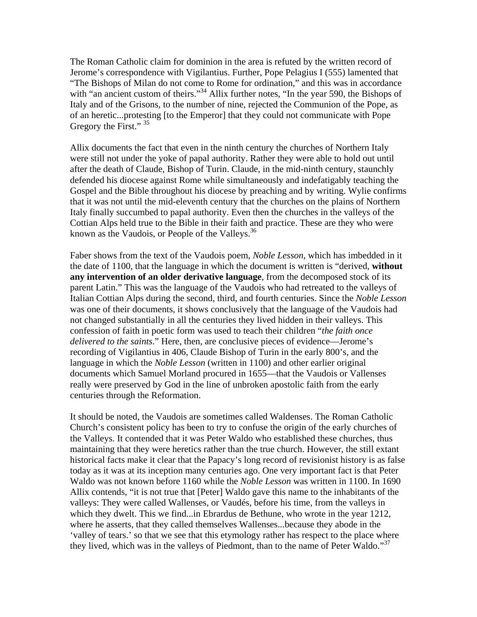The Roman Catholic claim for dominion in the area is refuted by the written record of Jerome's correspondence with Vigilantius. Further, Pope Pelagius I (555) lamented that "The Bishops of Milan do not come to Rome for ordination," and this was in accordance with "an ancient custom of theirs."<sup>34</sup> Allix further notes, "In the year 590, the Bishops of Italy and of the Grisons, to the number of nine, rejected the Communion of the Pope, as of an heretic...protesting [to the Emperor] that they could not communicate with Pope Gregory the First." <sup>35</sup>

Allix documents the fact that even in the ninth century the churches of Northern Italy were still not under the yoke of papal authority. Rather they were able to hold out until after the death of Claude, Bishop of Turin. Claude, in the mid-ninth century, staunchly defended his diocese against Rome while simultaneously and indefatigably teaching the Gospel and the Bible throughout his diocese by preaching and by writing. Wylie confirms that it was not until the mid-eleventh century that the churches on the plains of Northern Italy finally succumbed to papal authority. Even then the churches in the valleys of the Cottian Alps held true to the Bible in their faith and practice. These are they who were known as the Vaudois, or People of the Valleys. $36$ 

Faber shows from the text of the Vaudois poem, *Noble Lesson*, which has imbedded in it the date of 1100, that the language in which the document is written is "derived, **without any intervention of an older derivative language**, from the decomposed stock of its parent Latin." This was the language of the Vaudois who had retreated to the valleys of Italian Cottian Alps during the second, third, and fourth centuries. Since the *Noble Lesson*  was one of their documents, it shows conclusively that the language of the Vaudois had not changed substantially in all the centuries they lived hidden in their valleys. This confession of faith in poetic form was used to teach their children "*the faith once delivered to the saints*." Here, then, are conclusive pieces of evidence—Jerome's recording of Vigilantius in 406, Claude Bishop of Turin in the early 800's, and the language in which the *Noble Lesson* (written in 1100) and other earlier original documents which Samuel Morland procured in 1655—that the Vaudois or Vallenses really were preserved by God in the line of unbroken apostolic faith from the early centuries through the Reformation.

It should be noted, the Vaudois are sometimes called Waldenses. The Roman Catholic Church's consistent policy has been to try to confuse the origin of the early churches of the Valleys. It contended that it was Peter Waldo who established these churches, thus maintaining that they were heretics rather than the true church. However, the still extant historical facts make it clear that the Papacy's long record of revisionist history is as false today as it was at its inception many centuries ago. One very important fact is that Peter Waldo was not known before 1160 while the *Noble Lesson* was written in 1100. In 1690 Allix contends, "it is not true that [Peter] Waldo gave this name to the inhabitants of the valleys: They were called Wallenses, or Vaudés, before his time, from the valleys in which they dwelt. This we find...in Ebrardus de Bethune, who wrote in the year 1212, where he asserts, that they called themselves Wallenses...because they abode in the 'valley of tears.' so that we see that this etymology rather has respect to the place where they lived, which was in the valleys of Piedmont, than to the name of Peter Waldo."<sup>37</sup>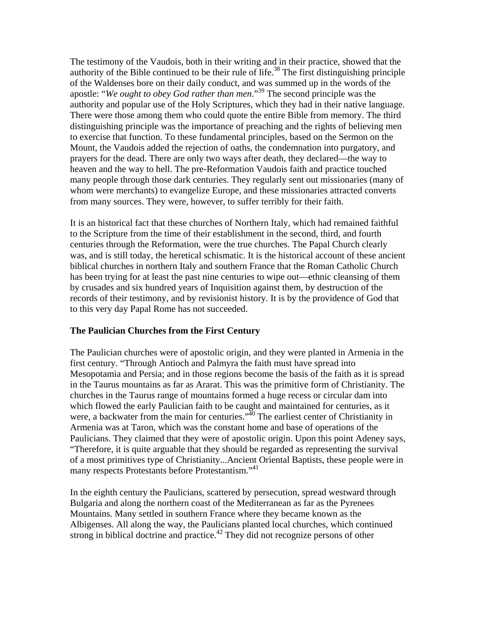The testimony of the Vaudois, both in their writing and in their practice, showed that the authority of the Bible continued to be their rule of life.<sup>38</sup> The first distinguishing principle of the Waldenses bore on their daily conduct, and was summed up in the words of the apostle: "*We ought to obey God rather than men*."<sup>39</sup> The second principle was the authority and popular use of the Holy Scriptures, which they had in their native language. There were those among them who could quote the entire Bible from memory. The third distinguishing principle was the importance of preaching and the rights of believing men to exercise that function. To these fundamental principles, based on the Sermon on the Mount, the Vaudois added the rejection of oaths, the condemnation into purgatory, and prayers for the dead. There are only two ways after death, they declared—the way to heaven and the way to hell. The pre-Reformation Vaudois faith and practice touched many people through those dark centuries. They regularly sent out missionaries (many of whom were merchants) to evangelize Europe, and these missionaries attracted converts from many sources. They were, however, to suffer terribly for their faith.

It is an historical fact that these churches of Northern Italy, which had remained faithful to the Scripture from the time of their establishment in the second, third, and fourth centuries through the Reformation, were the true churches. The Papal Church clearly was, and is still today, the heretical schismatic. It is the historical account of these ancient biblical churches in northern Italy and southern France that the Roman Catholic Church has been trying for at least the past nine centuries to wipe out—ethnic cleansing of them by crusades and six hundred years of Inquisition against them, by destruction of the records of their testimony, and by revisionist history. It is by the providence of God that to this very day Papal Rome has not succeeded.

#### **The Paulician Churches from the First Century**

The Paulician churches were of apostolic origin, and they were planted in Armenia in the first century. "Through Antioch and Palmyra the faith must have spread into Mesopotamia and Persia; and in those regions become the basis of the faith as it is spread in the Taurus mountains as far as Ararat. This was the primitive form of Christianity. The churches in the Taurus range of mountains formed a huge recess or circular dam into which flowed the early Paulician faith to be caught and maintained for centuries, as it were, a backwater from the main for centuries."<sup>40</sup> The earliest center of Christianity in Armenia was at Taron, which was the constant home and base of operations of the Paulicians. They claimed that they were of apostolic origin. Upon this point Adeney says, "Therefore, it is quite arguable that they should be regarded as representing the survival of a most primitives type of Christianity...Ancient Oriental Baptists, these people were in many respects Protestants before Protestantism."<sup>41</sup>

In the eighth century the Paulicians, scattered by persecution, spread westward through Bulgaria and along the northern coast of the Mediterranean as far as the Pyrenees Mountains. Many settled in southern France where they became known as the Albigenses. All along the way, the Paulicians planted local churches, which continued strong in biblical doctrine and practice.<sup>42</sup> They did not recognize persons of other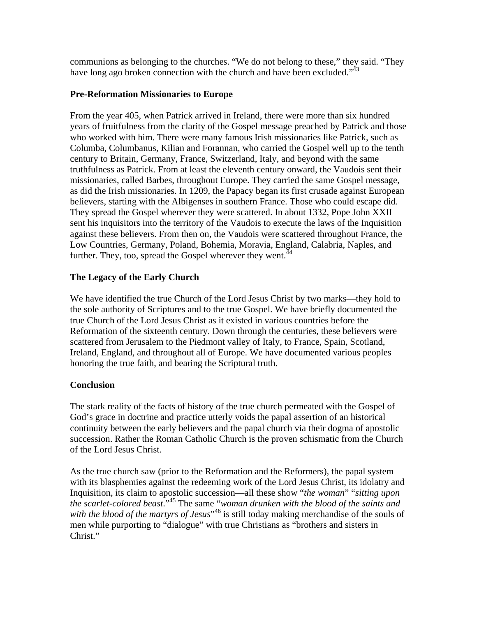communions as belonging to the churches. "We do not belong to these," they said. "They have long ago broken connection with the church and have been excluded." $\frac{3}{43}$ 

### **Pre-Reformation Missionaries to Europe**

From the year 405, when Patrick arrived in Ireland, there were more than six hundred years of fruitfulness from the clarity of the Gospel message preached by Patrick and those who worked with him. There were many famous Irish missionaries like Patrick, such as Columba, Columbanus, Kilian and Forannan, who carried the Gospel well up to the tenth century to Britain, Germany, France, Switzerland, Italy, and beyond with the same truthfulness as Patrick. From at least the eleventh century onward, the Vaudois sent their missionaries, called Barbes, throughout Europe. They carried the same Gospel message, as did the Irish missionaries. In 1209, the Papacy began its first crusade against European believers, starting with the Albigenses in southern France. Those who could escape did. They spread the Gospel wherever they were scattered. In about 1332, Pope John XXII sent his inquisitors into the territory of the Vaudois to execute the laws of the Inquisition against these believers. From then on, the Vaudois were scattered throughout France, the Low Countries, Germany, Poland, Bohemia, Moravia, England, Calabria, Naples, and further. They, too, spread the Gospel wherever they went.  $44$ 

# **The Legacy of the Early Church**

We have identified the true Church of the Lord Jesus Christ by two marks—they hold to the sole authority of Scriptures and to the true Gospel. We have briefly documented the true Church of the Lord Jesus Christ as it existed in various countries before the Reformation of the sixteenth century. Down through the centuries, these believers were scattered from Jerusalem to the Piedmont valley of Italy, to France, Spain, Scotland, Ireland, England, and throughout all of Europe. We have documented various peoples honoring the true faith, and bearing the Scriptural truth.

# **Conclusion**

The stark reality of the facts of history of the true church permeated with the Gospel of God's grace in doctrine and practice utterly voids the papal assertion of an historical continuity between the early believers and the papal church via their dogma of apostolic succession. Rather the Roman Catholic Church is the proven schismatic from the Church of the Lord Jesus Christ.

As the true church saw (prior to the Reformation and the Reformers), the papal system with its blasphemies against the redeeming work of the Lord Jesus Christ, its idolatry and Inquisition, its claim to apostolic succession—all these show "*the woman*" "*sitting upon the scarlet*-*colored beast*."45 The same "*woman drunken with the blood of the saints and*  with the blood of the martyrs of Jesus<sup>",46</sup> is still today making merchandise of the souls of men while purporting to "dialogue" with true Christians as "brothers and sisters in Christ."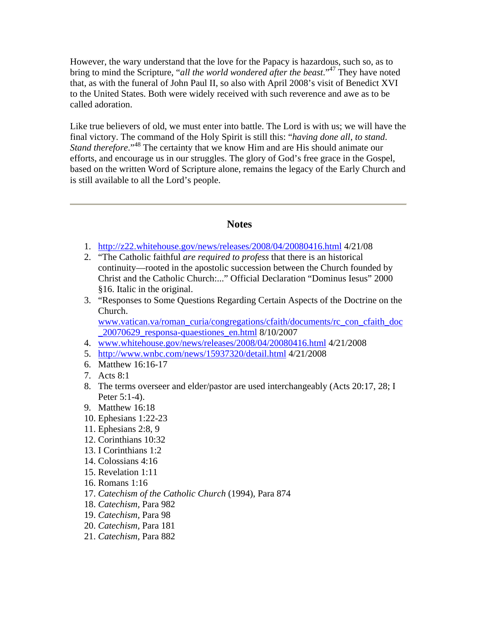However, the wary understand that the love for the Papacy is hazardous, such so, as to bring to mind the Scripture, "*all the world wondered after the beast*."47 They have noted that, as with the funeral of John Paul II, so also with April 2008's visit of Benedict XVI to the United States. Both were widely received with such reverence and awe as to be called adoration.

Like true believers of old, we must enter into battle. The Lord is with us; we will have the final victory. The command of the Holy Spirit is still this: "*having done all*, *to stand*. *Stand therefore*."48 The certainty that we know Him and are His should animate our efforts, and encourage us in our struggles. The glory of God's free grace in the Gospel, based on the written Word of Scripture alone, remains the legacy of the Early Church and is still available to all the Lord's people.

# **Notes**

- 1. <http://z22.whitehouse.gov/news/releases/2008/04/20080416.html>4/21/08
- 2. "The Catholic faithful *are required to profess* that there is an historical continuity—rooted in the apostolic succession between the Church founded by Christ and the Catholic Church:..." Official Declaration "Dominus Iesus" 2000 §16. Italic in the original.
- 3. "Responses to Some Questions Regarding Certain Aspects of the Doctrine on the Church.

[www.vatican.va/roman\\_curia/congregations/cfaith/documents/rc\\_con\\_cfaith\\_doc](http://www.vatican.va/roman_curia/congregations/cfaith/documents/rc_con_cfaith_doc_20070629_responsa-quaestiones_en.html) [\\_20070629\\_responsa-quaestiones\\_en.html](http://www.vatican.va/roman_curia/congregations/cfaith/documents/rc_con_cfaith_doc_20070629_responsa-quaestiones_en.html) 8/10/2007

- 4. [www.whitehouse.gov/news/releases/2008/04/20080416.html](http://www.whitehouse.gov/news/releases/2008/04/20080416.html) 4/21/2008
- 5. <http://www.wnbc.com/news/15937320/detail.html>4/21/2008
- 6. Matthew 16:16-17
- 7. Acts 8:1
- 8. The terms overseer and elder/pastor are used interchangeably (Acts 20:17, 28; I Peter 5:1-4).
- 9. Matthew 16:18
- 10. Ephesians 1:22-23
- 11. Ephesians 2:8, 9
- 12. Corinthians 10:32
- 13. I Corinthians 1:2
- 14. Colossians 4:16
- 15. Revelation 1:11
- 16. Romans 1:16
- 17. *Catechism of the Catholic Church* (1994), Para 874
- 18. *Catechism,* Para 982
- 19. *Catechism,* Para 98
- 20. *Catechism,* Para 181
- 21. *Catechism,* Para 882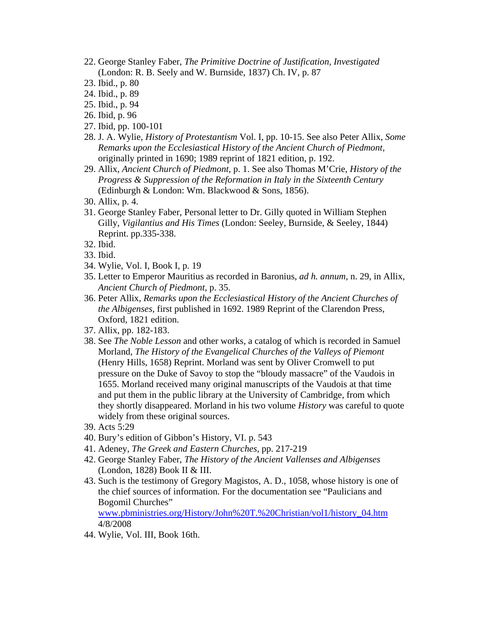- 22. George Stanley Faber, *The Primitive Doctrine of Justification, Investigated* (London: R. B. Seely and W. Burnside, 1837) Ch. IV, p. 87
- 23. Ibid., p. 80
- 24. Ibid., p. 89
- 25. Ibid., p. 94
- 26. Ibid, p. 96
- 27. Ibid, pp. 100-101
- 28. J. A. Wylie, *History of Protestantism* Vol. I, pp. 10-15. See also Peter Allix, *Some Remarks upon the Ecclesiastical History of the Ancient Church of Piedmont*, originally printed in 1690; 1989 reprint of 1821 edition, p. 192.
- 29. Allix, *Ancient Church of Piedmont*, p. 1. See also Thomas M'Crie, *History of the Progress & Suppression of the Reformation in Italy in the Sixteenth Century*  (Edinburgh & London: Wm. Blackwood & Sons, 1856).
- 30. Allix, p. 4.
- 31. George Stanley Faber, Personal letter to Dr. Gilly quoted in William Stephen Gilly, *Vigilantius and His Times* (London: Seeley, Burnside, & Seeley, 1844) Reprint. pp.335-338.
- 32. Ibid.
- 33. Ibid.
- 34. Wylie, Vol. I, Book I, p. 19
- 35. Letter to Emperor Mauritius as recorded in Baronius, *ad h. annum*, n. 29, in Allix, *Ancient Church of Piedmont,* p. 35.
- 36. Peter Allix, *Remarks upon the Ecclesiastical History of the Ancient Churches of the Albigenses,* first published in 1692. 1989 Reprint of the Clarendon Press, Oxford, 1821 edition.
- 37. Allix, pp. 182-183.
- 38. See *The Noble Lesson* and other works, a catalog of which is recorded in Samuel Morland, *The History of the Evangelical Churches of the Valleys of Piemont* (Henry Hills, 1658) Reprint. Morland was sent by Oliver Cromwell to put pressure on the Duke of Savoy to stop the "bloudy massacre" of the Vaudois in 1655. Morland received many original manuscripts of the Vaudois at that time and put them in the public library at the University of Cambridge, from which they shortly disappeared. Morland in his two volume *History* was careful to quote widely from these original sources.
- 39. Acts 5:29
- 40. Bury's edition of Gibbon's History, VI. p. 543
- 41. Adeney, *The Greek and Eastern Churches*, pp. 217-219
- 42. George Stanley Faber, *The History of the Ancient Vallenses and Albigenses*  (London, 1828) Book II & III.
- 43. Such is the testimony of Gregory Magistos, A. D., 1058, whose history is one of the chief sources of information. For the documentation see "Paulicians and Bogomil Churches"

[www.pbministries.org/History/John%20T.%20Christian/vol1/history\\_04.htm](http://www.pbministries.org/History/John%20T.%20Christian/vol1/history_04.htm) 4/8/2008

44. Wylie, Vol. III, Book 16th.